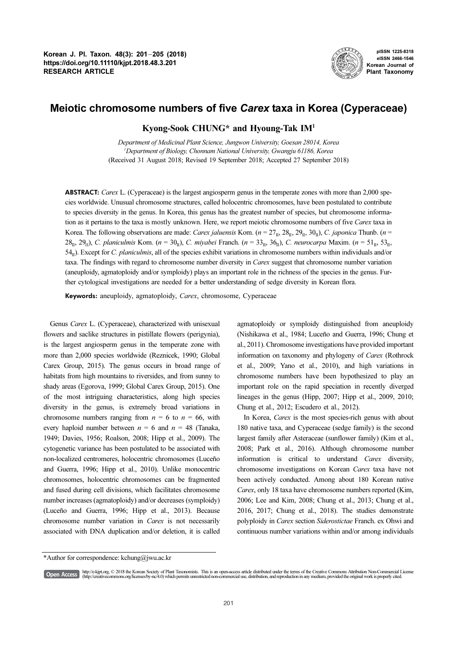

pISSN 1225-8318 eISSN 2466-1546 Korean Journal of Plant Taxonomy

# Meiotic chromosome numbers of five Carex taxa in Korea (Cyperaceae)

## Kyong-Sook CHUNG\* and Hyoung-Tak IM<sup>1</sup>

Department of Medicinal Plant Science, Jungwon University, Goesan 28014, Korea 1 Department of Biology, Chonnam National University, Gwangju 61186, Korea (Received 31 August 2018; Revised 19 September 2018; Accepted 27 September 2018)

**ABSTRACT:** Carex L. (Cyperaceae) is the largest angiosperm genus in the temperate zones with more than 2,000 species worldwide. Unusual chromosome structures, called holocentric chromosomes, have been postulated to contribute to species diversity in the genus. In Korea, this genus has the greatest number of species, but chromosome information as it pertains to the taxa is mostly unknown. Here, we report meiotic chromosome numbers of five Carex taxa in Korea. The following observations are made: Carex jaluensis Kom. (n = 27II, 28II, 29II, 30II), C. japonica Thunb. (n <sup>=</sup>  $28_{\text{II}}$ ,  $29_{\text{II}}$ ), C. planiculmis Kom. ( $n = 30_{\text{II}}$ ), C. miyabei Franch. ( $n = 33_{\text{II}}$ ,  $36_{\text{II}}$ ), C. neurocarpa Maxim. ( $n = 51_{\text{II}}$ ,  $53_{\text{II}}$ ,  $54<sub>II</sub>$ ). Except for *C. planiculmis*, all of the species exhibit variations in chromosome numbers within individuals and/or taxa. The findings with regard to chromosome number diversity in Carex suggest that chromosome number variation (aneuploidy, agmatoploidy and/or symploidy) plays an important role in the richness of the species in the genus. Further cytological investigations are needed for a better understanding of sedge diversity in Korean flora.

Keywords: aneuploidy, agmatoploidy, Carex, chromosome, Cyperaceae

Genus Carex L. (Cyperaceae), characterized with unisexual flowers and saclike structures in pistillate flowers (perigynia), is the largest angiosperm genus in the temperate zone with more than 2,000 species worldwide (Reznicek, 1990; Global Carex Group, 2015). The genus occurs in broad range of habitats from high mountains to riversides, and from sunny to shady areas (Egorova, 1999; Global Carex Group, 2015). One of the most intriguing characteristics, along high species diversity in the genus, is extremely broad variations in chromosome numbers ranging from  $n = 6$  to  $n = 66$ , with every haploid number between  $n = 6$  and  $n = 48$  (Tanaka, 1949; Davies, 1956; Roalson, 2008; Hipp et al., 2009). The cytogenetic variance has been postulated to be associated with non-localized centromeres, holocentric chromosomes (Luceño and Guerra, 1996; Hipp et al., 2010). Unlike monocentric chromosomes, holocentric chromosomes can be fragmented and fused during cell divisions, which facilitates chromosome number increases (agmatoploidy) and/or decreases (symploidy) (Luceño and Guerra, 1996; Hipp et al., 2013). Because chromosome number variation in Carex is not necessarily associated with DNA duplication and/or deletion, it is called agmatoploidy or symploidy distinguished from aneuploidy (Nishikawa et al., 1984; Luceño and Guerra, 1996; Chung et al., 2011). Chromosome investigations have provided important information on taxonomy and phylogeny of Carex (Rothrock et al., 2009; Yano et al., 2010), and high variations in chromosome numbers have been hypothesized to play an important role on the rapid speciation in recently diverged lineages in the genus (Hipp, 2007; Hipp et al., 2009, 2010; Chung et al., 2012; Escudero et al., 2012).

In Korea, Carex is the most species-rich genus with about 180 native taxa, and Cyperaceae (sedge family) is the second largest family after Asteraceae (sunflower family) (Kim et al., 2008; Park et al., 2016). Although chromosome number information is critical to understand Carex diversity, chromosome investigations on Korean Carex taxa have not been actively conducted. Among about 180 Korean native Carex, only 18 taxa have chromosome numbers reported (Kim, 2006; Lee and Kim, 2008; Chung et al., 2013; Chung et al., 2016, 2017; Chung et al., 2018). The studies demonstrate polyploidy in Carex section Siderostictae Franch. ex Ohwi and continuous number variations within and/or among individuals

<sup>\*</sup>Author for correspondence: kchung@jwu.ac.kr

http://e-kjpt.org, © 2018 the Korean Society of Plant Taxonomists. This is an open-access article distributed under the terms of the Creative Commons Attribution Non-Commercial License [Open Access] (http://creativecommons.org/licenses/by-nc/4.0) which permits unrestricted non-commercial use, distribution, and reproduction in any medium, provided the original work is properly cited.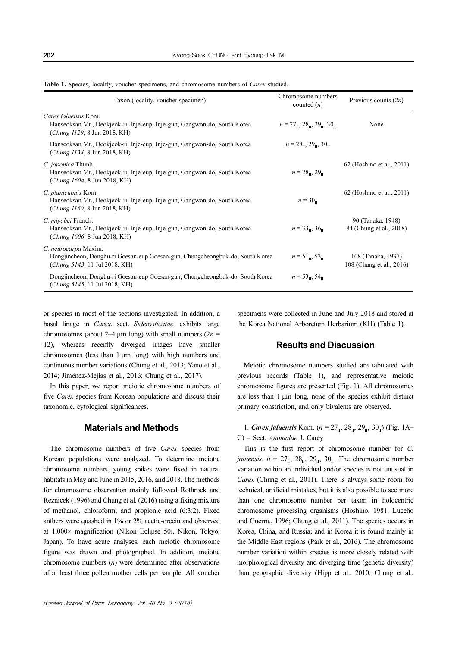|  | Table 1. Species, locality, voucher specimens, and chromosome numbers of Carex studied. |  |
|--|-----------------------------------------------------------------------------------------|--|
|  |                                                                                         |  |

| Taxon (locality, voucher specimen)                                                                                                     | Chromosome numbers<br>counted $(n)$                                          | Previous counts $(2n)$                         |
|----------------------------------------------------------------------------------------------------------------------------------------|------------------------------------------------------------------------------|------------------------------------------------|
| Carex jaluensis Kom.<br>Hanseoksan Mt., Deokjeok-ri, Inje-eup, Inje-gun, Gangwon-do, South Korea<br>(Chung 1129, 8 Jun 2018, KH)       | $n = 27_{\text{H}}$ , 28 <sub>tt</sub> , 29 <sub>tt</sub> , 30 <sub>tt</sub> | None                                           |
| Hanseoksan Mt., Deokjeok-ri, Inje-eup, Inje-gun, Gangwon-do, South Korea<br>( <i>Chung 1134, 8 Jun 2018, KH</i> )                      | $n = 28_{\text{II}}$ , $29_{\text{II}}$ , $30_{\text{II}}$                   |                                                |
| C. japonica Thunb.<br>Hanseoksan Mt., Deokjeok-ri, Inje-eup, Inje-gun, Gangwon-do, South Korea<br>(Chung 1604, 8 Jun 2018, KH)         | $n = 28_{\text{II}}$ , 29 <sub>11</sub>                                      | 62 (Hoshino et al., 2011)                      |
| C. planiculmis Kom.<br>Hanseoksan Mt., Deokjeok-ri, Inje-eup, Inje-gun, Gangwon-do, South Korea<br>(Chung 1160, 8 Jun 2018, KH)        | $n = 30_n$                                                                   | 62 (Hoshino et al., 2011)                      |
| C. <i>miyabei</i> Franch.<br>Hanseoksan Mt., Deokjeok-ri, Inje-eup, Inje-gun, Gangwon-do, South Korea<br>(Chung 1606, 8 Jun 2018, KH)  | $n = 33_{\text{H}}$ , 36 $_{\text{H}}$                                       | 90 (Tanaka, 1948)<br>84 (Chung et al., 2018)   |
| C. neurocarpa Maxim.<br>Dongjincheon, Dongbu-ri Goesan-eup Goesan-gun, Chungcheongbuk-do, South Korea<br>(Chung 5143, 11 Jul 2018, KH) | $n = 51_{\text{H}}$ , 53 <sub>H</sub>                                        | 108 (Tanaka, 1937)<br>108 (Chung et al., 2016) |
| Dongjincheon, Dongbu-ri Goesan-eup Goesan-gun, Chungcheongbuk-do, South Korea<br>(Chung 5145, 11 Jul 2018, KH)                         | $n = 53_{\text{H}}$ , 54 $_{\text{H}}$                                       |                                                |

or species in most of the sections investigated. In addition, a basal linage in Carex, sect. Siderosticatae, exhibits large chromosomes (about 2–4  $\mu$ m long) with small numbers (2*n* = 12), whereas recently diverged linages have smaller chromosomes (less than 1 µm long) with high numbers and continuous number variations (Chung et al., 2013; Yano et al., 2014; Jiménez-Mejías et al., 2016; Chung et al., 2017).

In this paper, we report meiotic chromosome numbers of five Carex species from Korean populations and discuss their taxonomic, cytological significances.

#### Materials and Methods

The chromosome numbers of five Carex species from Korean populations were analyzed. To determine meiotic chromosome numbers, young spikes were fixed in natural habitats in May and June in 2015, 2016, and 2018. The methods for chromosome observation mainly followed Rothrock and Reznicek (1996) and Chung et al. (2016) using a fixing mixture of methanol, chloroform, and propionic acid (6:3:2). Fixed anthers were quashed in 1% or 2% acetic-orcein and observed at 1,000× magnification (Nikon Eclipse 50i, Nikon, Tokyo, Japan). To have acute analyses, each meiotic chromosome figure was drawn and photographed. In addition, meiotic chromosome numbers  $(n)$  were determined after observations of at least three pollen mother cells per sample. All voucher specimens were collected in June and July 2018 and stored at the Korea National Arboretum Herbarium (KH) (Table 1).

#### Results and Discussion

Meiotic chromosome numbers studied are tabulated with previous records (Table 1), and representative meiotic chromosome figures are presented (Fig. 1). All chromosomes are less than  $1 \mu m$  long, none of the species exhibit distinct primary constriction, and only bivalents are observed.

1. *Carex jaluensis* Kom. ( $n = 27_{\text{II}}$ ,  $28_{\text{II}}$ ,  $29_{\text{II}}$ ,  $30_{\text{II}}$ ) (Fig. 1A– C) – Sect. Anomalae J. Carey

This is the first report of chromosome number for C. *jaluensis*,  $n = 27_{\text{II}}$ ,  $28_{\text{II}}$ ,  $29_{\text{II}}$ ,  $30_{\text{II}}$ . The chromosome number variation within an individual and/or species is not unusual in Carex (Chung et al., 2011). There is always some room for technical, artificial mistakes, but it is also possible to see more than one chromosome number per taxon in holocentric chromosome processing organisms (Hoshino, 1981; Luceño and Guerra., 1996; Chung et al., 2011). The species occurs in Korea, China, and Russia; and in Korea it is found mainly in the Middle East regions (Park et al., 2016). The chromosome number variation within species is more closely related with morphological diversity and diverging time (genetic diversity) than geographic diversity (Hipp et al., 2010; Chung et al.,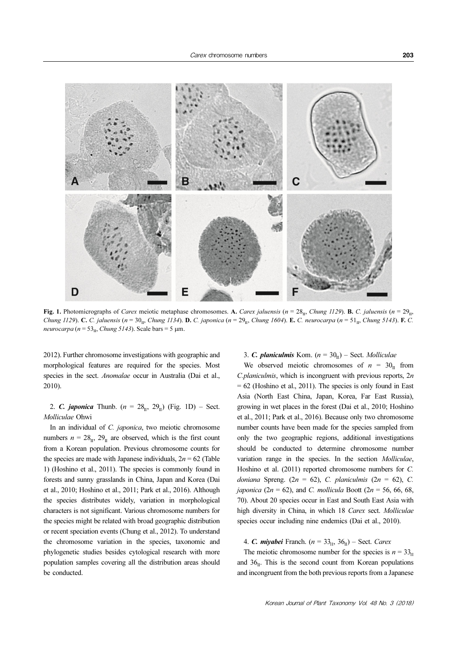

Fig. 1. Photomicrographs of Carex meiotic metaphase chromosomes. A. Carex jaluensis (n = 28<sub>II</sub>, Chung 1129). B. C. jaluensis (n = 29<sub>II</sub>, Chung 1129). C. C. jaluensis (n = 30<sub>II</sub>, Chung 1134). D. C. japonica (n = 29<sub>II</sub>, Chung 1604). E. C. neurocarpa (n = 51<sub>II</sub>, Chung 5143). F. C. neurocarpa ( $n = 53<sub>II</sub>$ , Chung 5143). Scale bars = 5 µm.

2012). Further chromosome investigations with geographic and morphological features are required for the species. Most species in the sect. *Anomalae* occur in Australia (Dai et al., 2010).

2. *C. japonica* Thunb.  $(n = 28_{11}, 29_{11})$  (Fig. 1D) – Sect. Molliculae Ohwi

In an individual of C. japonica, two meiotic chromosome numbers  $n = 28_{\text{II}}$ ,  $29_{\text{II}}$  are observed, which is the first count from a Korean population. Previous chromosome counts for the species are made with Japanese individuals,  $2n = 62$  (Table 1) (Hoshino et al., 2011). The species is commonly found in forests and sunny grasslands in China, Japan and Korea (Dai et al., 2010; Hoshino et al., 2011; Park et al., 2016). Although the species distributes widely, variation in morphological characters is not significant. Various chromosome numbers for the species might be related with broad geographic distribution or recent speciation events (Chung et al., 2012). To understand the chromosome variation in the species, taxonomic and phylogenetic studies besides cytological research with more population samples covering all the distribution areas should be conducted.

# 3. C. planiculmis Kom.  $(n = 30_{\text{II}})$  – Sect. Molliculae

We observed meiotic chromosomes of  $n = 30<sub>II</sub>$  from  $C<sub>l</sub>$ *C.planiculmis*, which is incongruent with previous reports,  $2n$  $= 62$  (Hoshino et al., 2011). The species is only found in East Asia (North East China, Japan, Korea, Far East Russia), growing in wet places in the forest (Dai et al., 2010; Hoshino et al., 2011; Park et al., 2016). Because only two chromosome number counts have been made for the species sampled from only the two geographic regions, additional investigations should be conducted to determine chromosome number variation range in the species. In the section Molliculae, Hoshino et al. (2011) reported chromosome numbers for C. doniana Spreng. (2n = 62), C. planiculmis (2n = 62), C. japonica (2n = 62), and C. mollicula Boott (2n = 56, 66, 68, 70). About 20 species occur in East and South East Asia with high diversity in China, in which 18 Carex sect. Molliculae species occur including nine endemics (Dai et al., 2010).

# 4. *C. miyabei* Franch. ( $n = 33_{\text{II}}$ ,  $36_{\text{II}}$ ) – Sect. *Carex*

The meiotic chromosome number for the species is  $n = 33<sub>u</sub>$ and  $36<sub>II</sub>$ . This is the second count from Korean populations and incongruent from the both previous reports from a Japanese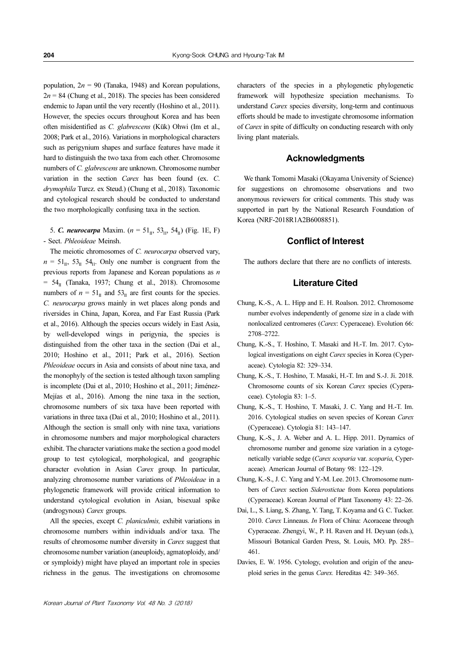population,  $2n = 90$  (Tanaka, 1948) and Korean populations,  $2n = 84$  (Chung et al., 2018). The species has been considered endemic to Japan until the very recently (Hoshino et al., 2011). However, the species occurs throughout Korea and has been often misidentified as C. glabrescens (Kük) Ohwi (Im et al., 2008; Park et al., 2016). Variations in morphological characters such as perigynium shapes and surface features have made it hard to distinguish the two taxa from each other. Chromosome numbers of C. glabrescens are unknown. Chromosome number variation in the section Carex has been found (ex. C. drymophila Turcz. ex Steud.) (Chung et al., 2018). Taxonomic and cytological research should be conducted to understand the two morphologically confusing taxa in the section.

5. **C. neurocarpa** Maxim.  $(n = 51_{\text{II}}, 53_{\text{II}}, 54_{\text{II}})$  (Fig. 1E, F) - Sect. Phleoideae Meinsh.

The meiotic chromosomes of C. neurocarpa observed vary,  $n = 51_{\text{II}}$ ,  $53_{\text{II}}$   $54_{\text{II}}$ . Only one number is congruent from the previous reports from Japanese and Korean populations as n  $= 54<sub>II</sub>$  (Tanaka, 1937; Chung et al., 2018). Chromosome numbers of  $n = 51_{\text{II}}$  and  $53_{\text{II}}$  are first counts for the species. C. neurocarpa grows mainly in wet places along ponds and riversides in China, Japan, Korea, and Far East Russia (Park et al., 2016). Although the species occurs widely in East Asia, by well-developed wings in perigynia, the species is distinguished from the other taxa in the section (Dai et al., 2010; Hoshino et al., 2011; Park et al., 2016). Section Phleoideae occurs in Asia and consists of about nine taxa, and the monophyly of the section is tested although taxon sampling is incomplete (Dai et al., 2010; Hoshino et al., 2011; Jiménez-Mejías et al., 2016). Among the nine taxa in the section, chromosome numbers of six taxa have been reported with variations in three taxa (Dai et al., 2010; Hoshino et al., 2011). Although the section is small only with nine taxa, variations in chromosome numbers and major morphological characters exhibit. The character variations make the section a good model group to test cytological, morphological, and geographic character evolution in Asian Carex group. In particular, analyzing chromosome number variations of Phleoideae in a phylogenetic framework will provide critical information to understand cytological evolution in Asian, bisexual spike (androgynous) Carex groups.

All the species, except C. planiculmis, exhibit variations in chromosome numbers within individuals and/or taxa. The results of chromosome number diversity in Carex suggest that chromosome number variation (aneuploidy, agmatoploidy, and/ or symploidy) might have played an important role in species richness in the genus. The investigations on chromosome characters of the species in a phylogenetic phylogenetic framework will hypothesize speciation mechanisms. To understand Carex species diversity, long-term and continuous efforts should be made to investigate chromosome information of Carex in spite of difficulty on conducting research with only living plant materials.

### **Acknowledaments**

We thank Tomomi Masaki (Okayama University of Science) for suggestions on chromosome observations and two anonymous reviewers for critical comments. This study was supported in part by the National Research Foundation of Korea (NRF-2018R1A2B6008851).

#### Conflict of Interest

The authors declare that there are no conflicts of interests.

## Literature Cited

- Chung, K.-S., A. L. Hipp and E. H. Roalson. 2012. Chromosome number evolves independently of genome size in a clade with nonlocalized centromeres (Carex: Cyperaceae). Evolution 66: 2708–2722.
- Chung, K.-S., T. Hoshino, T. Masaki and H.-T. Im. 2017. Cytological investigations on eight Carex species in Korea (Cyperaceae). Cytologia 82: 329–334.
- Chung, K.-S., T. Hoshino, T. Masaki, H.-T. Im and S.-J. Ji. 2018. Chromosome counts of six Korean Carex species (Cyperaceae). Cytologia 83: 1–5.
- Chung, K.-S., T. Hoshino, T. Masaki, J. C. Yang and H.-T. Im. 2016. Cytological studies on seven species of Korean Carex (Cyperaceae). Cytologia 81: 143–147.
- Chung, K.-S., J. A. Weber and A. L. Hipp. 2011. Dynamics of chromosome number and genome size variation in a cytogenetically variable sedge (Carex scoparia var. scoparia, Cyperaceae). American Journal of Botany 98: 122–129.
- Chung, K.-S., J. C. Yang and Y.-M. Lee. 2013. Chromosome numbers of Carex section Siderostictae from Korea populations (Cyperaceae). Korean Journal of Plant Taxonomy 43: 22–26.
- Dai, L., S. Liang, S. Zhang, Y. Tang, T. Koyama and G. C. Tucker. 2010. Carex Linneaus. In Flora of China: Acoraceae through Cyperaceae. Zhengyi, W., P. H. Raven and H. Deyuan (eds.), Missouri Botanical Garden Press, St. Louis, MO. Pp. 285– 461.
- Davies, E. W. 1956. Cytology, evolution and origin of the aneuploid series in the genus Carex. Hereditas 42: 349–365.